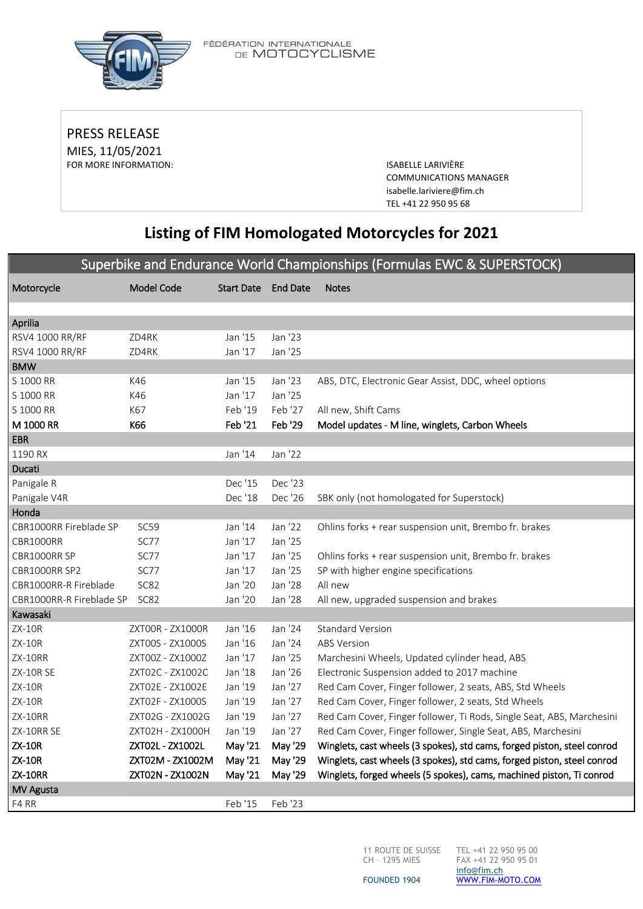

FÉDÉRATION INTERNATIONALE<br>DE **MOTOCYCLISME** 

PRESS RELEASE MIES, 11/05/2021 FOR MORE INFORMATION: ISABELLE LARIVIÈRE

COMMUNICATIONS MANAGER [isabelle.lariviere@fim.ch](mailto:isabelle.lariviere@fim.ch) TEL +41 22 950 95 68

# **Listing of FIM Homologated Motorcycles for 2021**

### Superbike and Endurance World Championships (Formulas EWC & SUPERSTOCK)

| Motorcycle               | <b>Model Code</b> | <b>Start Date</b> | <b>End Date</b> | <b>Notes</b>                                                            |
|--------------------------|-------------------|-------------------|-----------------|-------------------------------------------------------------------------|
|                          |                   |                   |                 |                                                                         |
| Aprilia                  |                   |                   |                 |                                                                         |
| RSV4 1000 RR/RF          | ZD4RK             | Jan '15           | Jan '23         |                                                                         |
| RSV4 1000 RR/RF          | ZD4RK             | Jan '17           | Jan '25         |                                                                         |
| <b>BMW</b>               |                   |                   |                 |                                                                         |
| S 1000 RR                | K46               | Jan '15           | Jan '23         | ABS, DTC, Electronic Gear Assist, DDC, wheel options                    |
| S 1000 RR                | K46               | Jan '17           | Jan '25         |                                                                         |
| S 1000 RR                | K67               | Feb '19           | Feb '27         | All new, Shift Cams                                                     |
| M 1000 RR                | K66               | Feb '21           | Feb '29         | Model updates - M line, winglets, Carbon Wheels                         |
| <b>EBR</b>               |                   |                   |                 |                                                                         |
| 1190 RX                  |                   | Jan '14           | Jan '22         |                                                                         |
| Ducati                   |                   |                   |                 |                                                                         |
| Panigale R               |                   | Dec '15           | Dec '23         |                                                                         |
| Panigale V4R             |                   | Dec '18           | Dec '26         | SBK only (not homologated for Superstock)                               |
| Honda                    |                   |                   |                 |                                                                         |
| CBR1000RR Fireblade SP   | SC59              | Jan '14           | Jan '22         | Ohlins forks + rear suspension unit, Brembo fr. brakes                  |
| CBR1000RR                | SC77              | Jan '17           | Jan '25         |                                                                         |
| CBR1000RR SP             | SC77              | Jan '17           | Jan '25         | Ohlins forks + rear suspension unit, Brembo fr. brakes                  |
| CBR1000RR SP2            | SC77              | Jan '17           | Jan '25         | SP with higher engine specifications                                    |
| CBR1000RR-R Fireblade    | <b>SC82</b>       | Jan '20           | Jan '28         | All new                                                                 |
| CBR1000RR-R Fireblade SP | <b>SC82</b>       | Jan '20           | Jan '28         | All new, upgraded suspension and brakes                                 |
| Kawasaki                 |                   |                   |                 |                                                                         |
| <b>ZX-10R</b>            | ZXT00R - ZX1000R  | Jan '16           | Jan '24         | <b>Standard Version</b>                                                 |
| <b>ZX-10R</b>            | ZXT00S - ZX1000S  | Jan '16           | Jan '24         | <b>ABS Version</b>                                                      |
| ZX-10RR                  | ZXT00Z - ZX1000Z  | Jan '17           | Jan '25         | Marchesini Wheels, Updated cylinder head, ABS                           |
| ZX-10R SE                | ZXT02C - ZX1002C  | Jan '18           | Jan '26         | Electronic Suspension added to 2017 machine                             |
| ZX-10R                   | ZXT02E - ZX1002E  | Jan '19           | Jan '27         | Red Cam Cover, Finger follower, 2 seats, ABS, Std Wheels                |
| <b>ZX-10R</b>            | ZXT02F - ZX1000S  | Jan '19           | Jan '27         | Red Cam Cover, Finger follower, 2 seats, Std Wheels                     |
| ZX-10RR                  | ZXT02G - ZX1002G  | Jan '19           | Jan '27         | Red Cam Cover, Finger follower, Ti Rods, Single Seat, ABS, Marchesini   |
| ZX-10RR SE               | ZXT02H - ZX1000H  | Jan '19           | Jan '27         | Red Cam Cover, Finger follower, Single Seat, ABS, Marchesini            |
| <b>ZX-10R</b>            | ZXT02L - ZX1002L  | May '21           | May '29         | Winglets, cast wheels (3 spokes), std cams, forged piston, steel conrod |
| <b>ZX-10R</b>            | ZXT02M - ZX1002M  | May '21           | May '29         | Winglets, cast wheels (3 spokes), std cams, forged piston, steel conrod |
| <b>ZX-10RR</b>           | ZXT02N - ZX1002N  | May '21           | May '29         | Winglets, forged wheels (5 spokes), cams, machined piston, Ti conrod    |
| MV Agusta                |                   |                   |                 |                                                                         |
| F4 RR                    |                   | Feb '15           | Feb '23         |                                                                         |

11 ROUTE DE SUISSE TEL +41 22 950 95 00 CH – 1295 MIES

FAX +41 22 950 95 01 [info@fim.ch](mailto:info@fim.ch) [WWW.FIM-MOTO.COM](http://www.fim-moto.com/)

FOUNDED 1904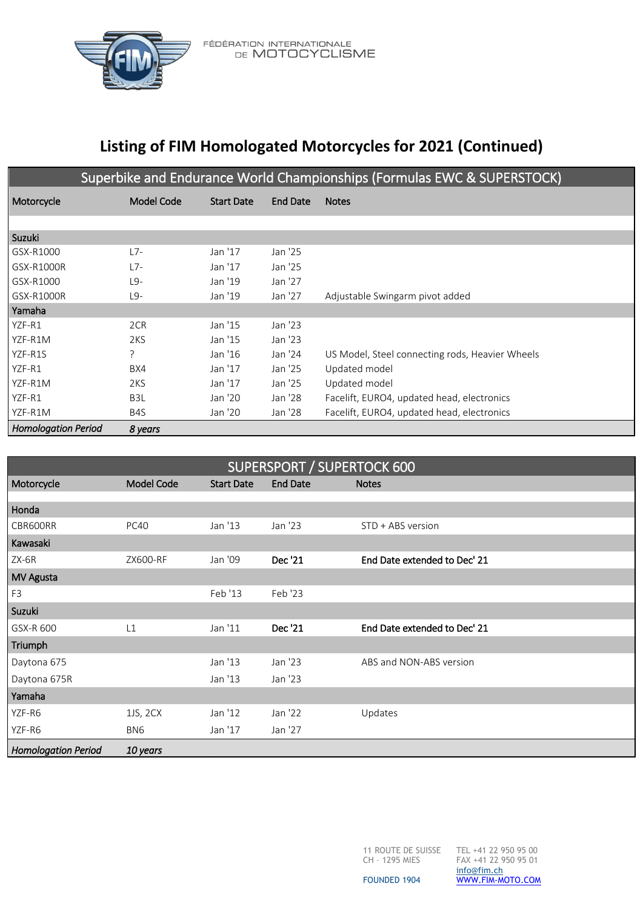

FÉDÉRATION INTERNATIONALE<br>DE **MOTOCYCLISME** 

# **Listing of FIM Homologated Motorcycles for 2021 (Continued)**

| Superbike and Endurance World Championships (Formulas EWC & SUPERSTOCK) |                  |                   |                 |                                                 |  |
|-------------------------------------------------------------------------|------------------|-------------------|-----------------|-------------------------------------------------|--|
| Motorcycle                                                              | Model Code       | <b>Start Date</b> | <b>End Date</b> | <b>Notes</b>                                    |  |
|                                                                         |                  |                   |                 |                                                 |  |
| Suzuki                                                                  |                  |                   |                 |                                                 |  |
| GSX-R1000                                                               | $L7-$            | Jan '17           | Jan '25         |                                                 |  |
| GSX-R1000R                                                              | $L7-$            | Jan '17           | Jan '25         |                                                 |  |
| GSX-R1000                                                               | $L9-$            | Jan '19           | Jan '27         |                                                 |  |
| GSX-R1000R                                                              | $L9-$            | Jan '19           | Jan '27         | Adjustable Swingarm pivot added                 |  |
| Yamaha                                                                  |                  |                   |                 |                                                 |  |
| YZF-R1                                                                  | 2CR              | Jan '15           | Jan '23         |                                                 |  |
| YZF-R1M                                                                 | 2KS              | Jan '15           | Jan '23         |                                                 |  |
| YZF-R1S                                                                 | ?                | Jan '16           | Jan '24         | US Model, Steel connecting rods, Heavier Wheels |  |
| YZF-R1                                                                  | BX4              | Jan '17           | Jan '25         | Updated model                                   |  |
| YZF-R1M                                                                 | 2KS              | Jan '17           | Jan '25         | Updated model                                   |  |
| YZF-R1                                                                  | B <sub>3</sub> L | Jan '20           | Jan '28         | Facelift, EURO4, updated head, electronics      |  |
| YZF-R1M                                                                 | B <sub>4</sub> S | Jan '20           | Jan '28         | Facelift, EURO4, updated head, electronics      |  |
| <b>Homologation Period</b>                                              | 8 years          |                   |                 |                                                 |  |

| <b>SUPERSPORT / SUPERTOCK 600</b> |                   |                   |                 |                              |  |  |
|-----------------------------------|-------------------|-------------------|-----------------|------------------------------|--|--|
| Motorcycle                        | <b>Model Code</b> | <b>Start Date</b> | <b>End Date</b> | <b>Notes</b>                 |  |  |
|                                   |                   |                   |                 |                              |  |  |
| Honda                             |                   |                   |                 |                              |  |  |
| CBR600RR                          | <b>PC40</b>       | Jan '13           | Jan '23         | STD + ABS version            |  |  |
| Kawasaki                          |                   |                   |                 |                              |  |  |
| $ZX-6R$                           | ZX600-RF          | Jan '09           | Dec '21         | End Date extended to Dec' 21 |  |  |
| <b>MV Agusta</b>                  |                   |                   |                 |                              |  |  |
| F <sub>3</sub>                    |                   | Feb '13           | Feb '23         |                              |  |  |
| Suzuki                            |                   |                   |                 |                              |  |  |
| GSX-R 600                         | L1                | Jan '11           | Dec '21         | End Date extended to Dec' 21 |  |  |
| Triumph                           |                   |                   |                 |                              |  |  |
| Daytona 675                       |                   | Jan '13           | Jan '23         | ABS and NON-ABS version      |  |  |
| Daytona 675R                      |                   | Jan '13           | Jan '23         |                              |  |  |
| Yamaha                            |                   |                   |                 |                              |  |  |
| YZF-R6                            | 1JS, 2CX          | Jan '12           | Jan '22         | Updates                      |  |  |
| YZF-R6                            | BN <sub>6</sub>   | Jan '17           | Jan '27         |                              |  |  |
| <b>Homologation Period</b>        | 10 years          |                   |                 |                              |  |  |

11 ROUTE DE SUISSE TEL +41 22 950 95 00 CH – 1295 MIES

FAX +41 22 950 95 01 [info@fim.ch](mailto:info@fim.ch) [WWW.FIM-MOTO.COM](http://www.fim-moto.com/)

FOUNDED 1904